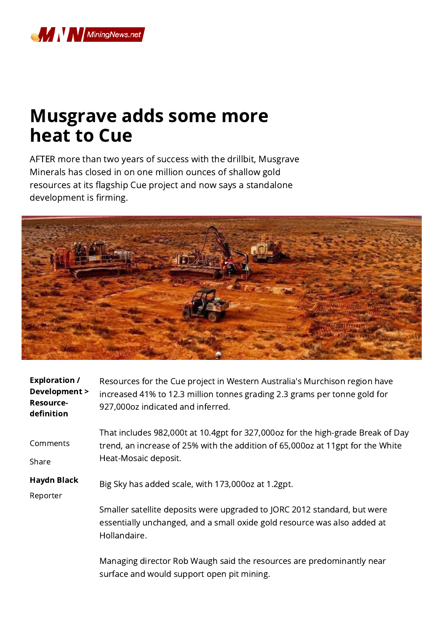

## Musgrave adds some more heat to Cue

AFTER more than two years of success with the drillbit, Musgrave Minerals has closed in on one million ounces of shallow gold resources at its flagship Cue project and now says a standalone development is firming.



| <b>Exploration /</b><br>Development ><br><b>Resource-</b><br>definition | Resources for the Cue project in Western Australia's Murchison region have<br>increased 41% to 12.3 million tonnes grading 2.3 grams per tonne gold for<br>927,000oz indicated and inferred. |
|-------------------------------------------------------------------------|----------------------------------------------------------------------------------------------------------------------------------------------------------------------------------------------|
| Comments<br>Share                                                       | That includes 982,000t at 10.4gpt for 327,000oz for the high-grade Break of Day<br>trend, an increase of 25% with the addition of 65,000oz at 11gpt for the White<br>Heat-Mosaic deposit.    |
| <b>Haydn Black</b><br>Reporter                                          | Big Sky has added scale, with 173,000oz at 1.2gpt.                                                                                                                                           |
|                                                                         | Smaller satellite deposits were upgraded to JORC 2012 standard, but were<br>essentially unchanged, and a small oxide gold resource was also added at<br>Hollandaire.                         |
|                                                                         | Managing director Rob Waugh said the resources are predominantly near<br>surface and would support open pit mining.                                                                          |